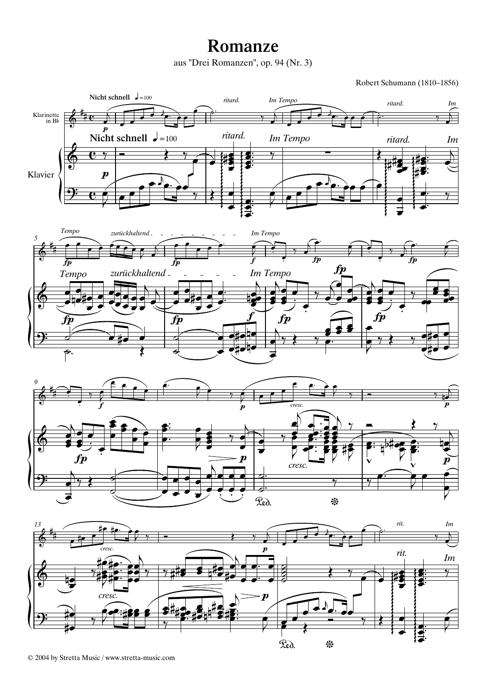## Romanze

aus "Drei Romanzen", op. 94 (Nr. 3)

Robert Schumann (1810–1856)









© 2004 by Stretta Music / www.stretta-music.com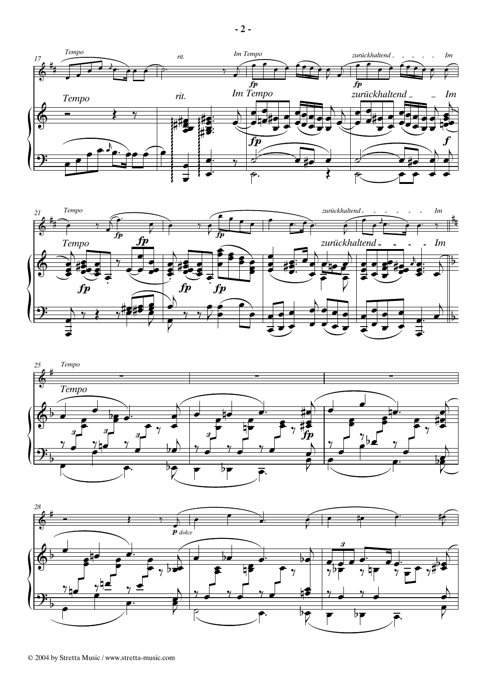





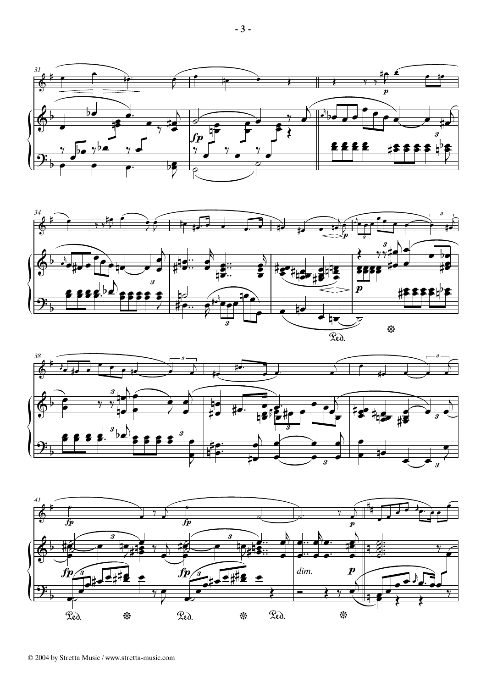





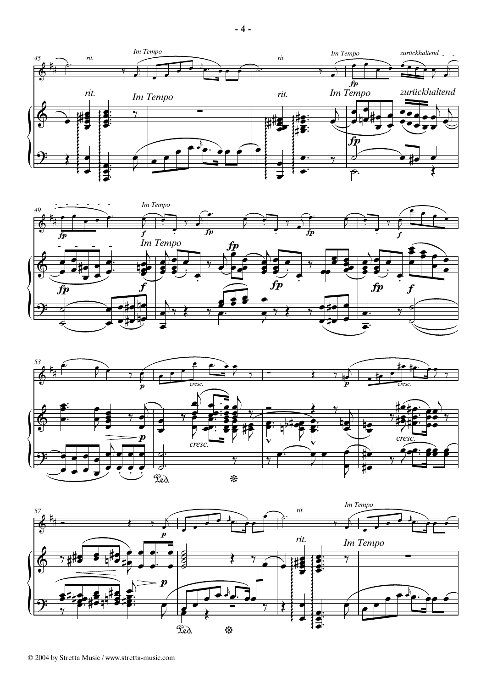





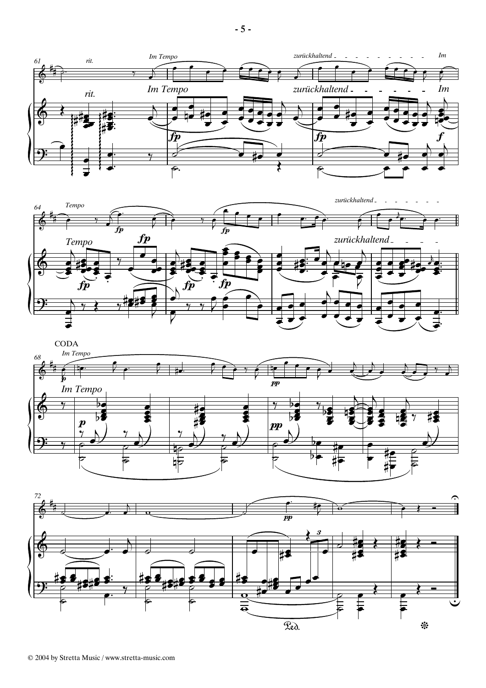





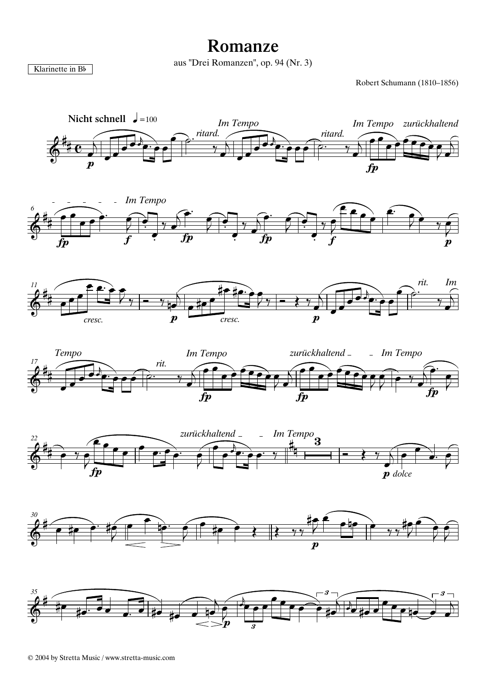Romanze

aus "Drei Romanzen", op. 94 (Nr. 3)

Klarinette in Bb

Robert Schumann (1810–1856)